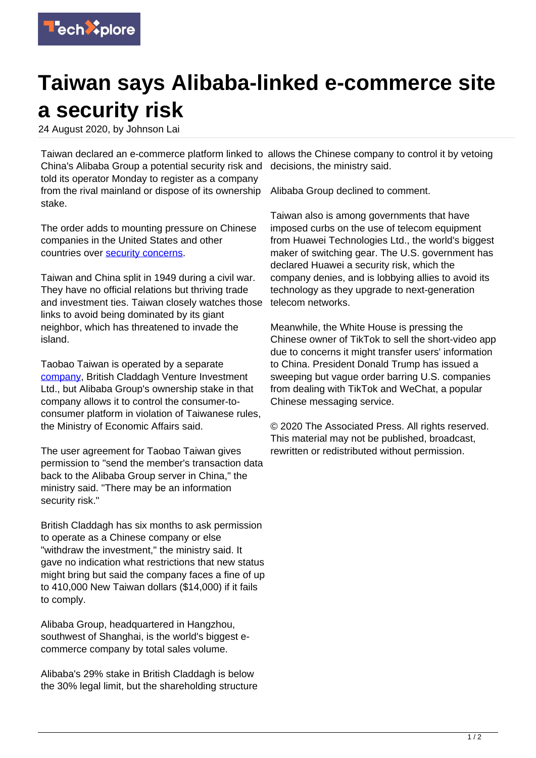

## **Taiwan says Alibaba-linked e-commerce site a security risk**

24 August 2020, by Johnson Lai

China's Alibaba Group a potential security risk and decisions, the ministry said. told its operator Monday to register as a company from the rival mainland or dispose of its ownership stake.

The order adds to mounting pressure on Chinese companies in the United States and other countries over [security concerns](https://techxplore.com/tags/security+concerns/).

Taiwan and China split in 1949 during a civil war. They have no official relations but thriving trade and investment ties. Taiwan closely watches those links to avoid being dominated by its giant neighbor, which has threatened to invade the island.

Taobao Taiwan is operated by a separate [company,](https://techxplore.com/tags/company/) British Claddagh Venture Investment Ltd., but Alibaba Group's ownership stake in that company allows it to control the consumer-toconsumer platform in violation of Taiwanese rules, the Ministry of Economic Affairs said.

The user agreement for Taobao Taiwan gives permission to "send the member's transaction data back to the Alibaba Group server in China," the ministry said. "There may be an information security risk."

British Claddagh has six months to ask permission to operate as a Chinese company or else "withdraw the investment," the ministry said. It gave no indication what restrictions that new status might bring but said the company faces a fine of up to 410,000 New Taiwan dollars (\$14,000) if it fails to comply.

Alibaba Group, headquartered in Hangzhou, southwest of Shanghai, is the world's biggest ecommerce company by total sales volume.

Alibaba's 29% stake in British Claddagh is below the 30% legal limit, but the shareholding structure

Taiwan declared an e-commerce platform linked to allows the Chinese company to control it by vetoing

Alibaba Group declined to comment.

Taiwan also is among governments that have imposed curbs on the use of telecom equipment from Huawei Technologies Ltd., the world's biggest maker of switching gear. The U.S. government has declared Huawei a security risk, which the company denies, and is lobbying allies to avoid its technology as they upgrade to next-generation telecom networks.

Meanwhile, the White House is pressing the Chinese owner of TikTok to sell the short-video app due to concerns it might transfer users' information to China. President Donald Trump has issued a sweeping but vague order barring U.S. companies from dealing with TikTok and WeChat, a popular Chinese messaging service.

© 2020 The Associated Press. All rights reserved. This material may not be published, broadcast, rewritten or redistributed without permission.